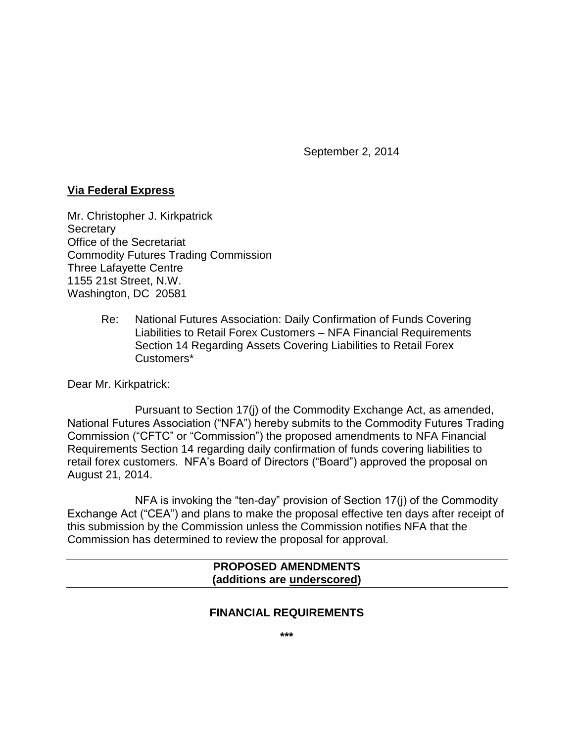September 2, 2014

## **Via Federal Express**

Mr. Christopher J. Kirkpatrick **Secretary** Office of the Secretariat Commodity Futures Trading Commission Three Lafayette Centre 1155 21st Street, N.W. Washington, DC 20581

> Re: National Futures Association: Daily Confirmation of Funds Covering Liabilities to Retail Forex Customers – NFA Financial Requirements Section 14 Regarding Assets Covering Liabilities to Retail Forex Customers\*

Dear Mr. Kirkpatrick:

Pursuant to Section 17(j) of the Commodity Exchange Act, as amended, National Futures Association ("NFA") hereby submits to the Commodity Futures Trading Commission ("CFTC" or "Commission") the proposed amendments to NFA Financial Requirements Section 14 regarding daily confirmation of funds covering liabilities to retail forex customers. NFA's Board of Directors ("Board") approved the proposal on August 21, 2014.

NFA is invoking the "ten-day" provision of Section 17(j) of the Commodity Exchange Act ("CEA") and plans to make the proposal effective ten days after receipt of this submission by the Commission unless the Commission notifies NFA that the Commission has determined to review the proposal for approval.

### **PROPOSED AMENDMENTS (additions are underscored)**

# **FINANCIAL REQUIREMENTS**

**\*\*\***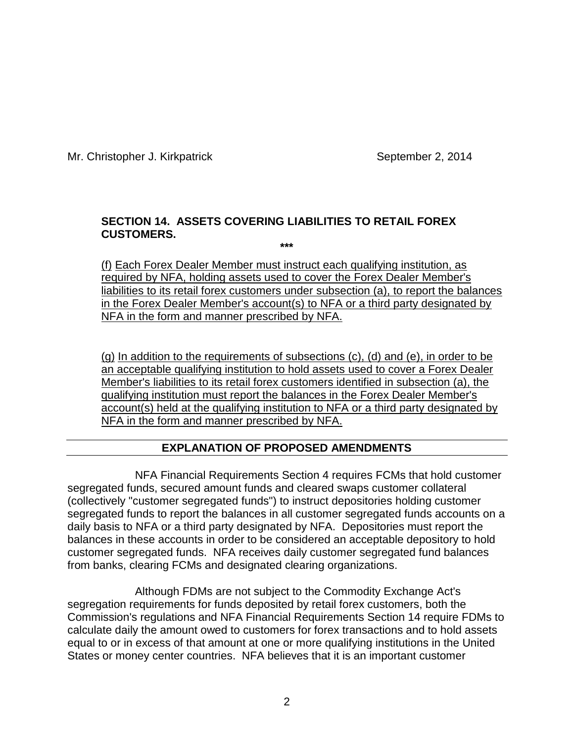Mr. Christopher J. Kirkpatrick September 2, 2014

## **SECTION 14. ASSETS COVERING LIABILITIES TO RETAIL FOREX CUSTOMERS.**

**\*\*\***

(f) Each Forex Dealer Member must instruct each qualifying institution, as required by NFA, holding assets used to cover the Forex Dealer Member's liabilities to its retail forex customers under subsection (a), to report the balances in the Forex Dealer Member's account(s) to NFA or a third party designated by NFA in the form and manner prescribed by NFA.

(g) In addition to the requirements of subsections (c), (d) and (e), in order to be an acceptable qualifying institution to hold assets used to cover a Forex Dealer Member's liabilities to its retail forex customers identified in subsection (a), the qualifying institution must report the balances in the Forex Dealer Member's account(s) held at the qualifying institution to NFA or a third party designated by NFA in the form and manner prescribed by NFA.

# **EXPLANATION OF PROPOSED AMENDMENTS**

NFA Financial Requirements Section 4 requires FCMs that hold customer segregated funds, secured amount funds and cleared swaps customer collateral (collectively "customer segregated funds") to instruct depositories holding customer segregated funds to report the balances in all customer segregated funds accounts on a daily basis to NFA or a third party designated by NFA. Depositories must report the balances in these accounts in order to be considered an acceptable depository to hold customer segregated funds. NFA receives daily customer segregated fund balances from banks, clearing FCMs and designated clearing organizations.

Although FDMs are not subject to the Commodity Exchange Act's segregation requirements for funds deposited by retail forex customers, both the Commission's regulations and NFA Financial Requirements Section 14 require FDMs to calculate daily the amount owed to customers for forex transactions and to hold assets equal to or in excess of that amount at one or more qualifying institutions in the United States or money center countries. NFA believes that it is an important customer